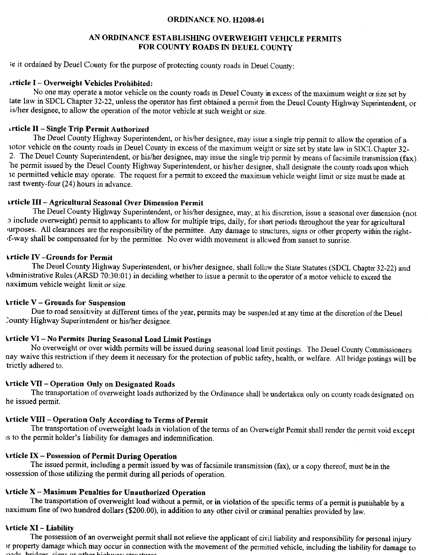#### ORDINANCE NO. H2008-01

### AN ORDINANCE ESTABLISHING OVERWEIGHT VEHICLE PERMITS FOR COUNTY ROADS IN DEUEL COUNTY

ie it ordained by Deuel County for the purpose of protecting county roads in Deuel County:

### \rticle I - Overweight V€hicles Prohibited:

No one may operate a motor vehicle on the county roads in Deuel County in excess of the maximum weight or size set by tate law in SDCL Chapter 32-22, unless the operator has first obtained a permit from the Deuel County Highway Superintendeni, or is/her designee, to allow the operation of the motor vehicle at such weight or size.

#### rrticle II - Single Trip Permit Authorized

The Deuel County Highway Superintendent, or his/her designee, may issue a single trip permit to allow the operation of a rotor vehicle on the county roads in Deuel County in excess of the maximum weight or size set by state law in SDCL Chapter 32-<br>2. The Deuel County Superintendent, or his/her designee, may issue the single trip permit by me he permit issued by the Deuel County Highway Superintendent, or his/her designee, shall designate the county roads upon which re permitted vehicle may operate. The request for a permit to exceed the maximum vehicle weight limit or size must be made at east twenty-four (24) hours in advance.

#### lrticle III - Agricultural Seasonal Over Dimension Permit

The Deuel County Highway Superintendent, or his/her designee, may, at his discretion, issue a seasonal over dimension (not r include overweight) permit to applicants to allow for multiple hips, daily, for short periods throughout the year for agricultural urposes. All clearances are the responsibility of the permittee. Any damage to structures, signs or other property within the right-'f-way shall be compensated for by the permittee- No over width movement is allowed from sunset to sunrise.

#### \rticle IV -Grounds for Permit

. . . . . . .<br>. . . . . . . . The Deuel County Highway Superintendent, or his/her designee, shall follow the State Statutes (SDCL Chapter 32-22) and Administrative Rules (ARSD 70:30:01) in deciding whether to issue a permit to the operator of a motor vehicle to exceed the naximum vehicle weight limit or size.

## $\Upsilon$ rticle  $V$  – Grounds for Suspension

Due to road sensitivity at different times of the year, permits may be suspended at any time at the discretion of the Deuel )ounty Highway Superintendent or his/her designee.

## \rticle VI - No Permits During Seasonal Load Limit Postings

No overweight or over width permits will be issued during seasonal load limit postings. The Deuel County Commissioners nay waive this restriction if they deem it necessary for the protection of public safety, health, or welfare. All bridge postings will be trictly adhered to.

# \rticle VII - Operation Only on Designated Roads

The transportation of overweight loads authorized by the Ordinance shall be undertaken only on county roads designated on he issued permit.

## \rticle VIII - Operation Only According to Terms of Permit

The transportation of overweight loads in violation of the terms of an Overweight Permit shall render the permit void except rs to the permit holder's liability for damages and indemnification.

#### \rticle D( - Possession of Permit During Operation

The issued permit, including a permit issued by was of facsimile transmission (fax), or a copy thereof, must be in the rossession of those utilizing the permit during all periods of operation.

## \rticle X - Maximum Penalties for Unauthorized Operation

The transportation of overweight load without a permit, or in violation of the specific terms of a permit is punishable by a naximum fine of two hundred dollars (\$200.00), in addition to any other civil or criminal penalties provided by law.

#### lrticle XI - Liability

The possession of an overweight permit shall not relieve the applicant of civil liability and responsibility for personal injury )r property damage which may occur in connection with the movement of the permitted vehicle, including the liability for damage to nade hridges oigne or other highway structures